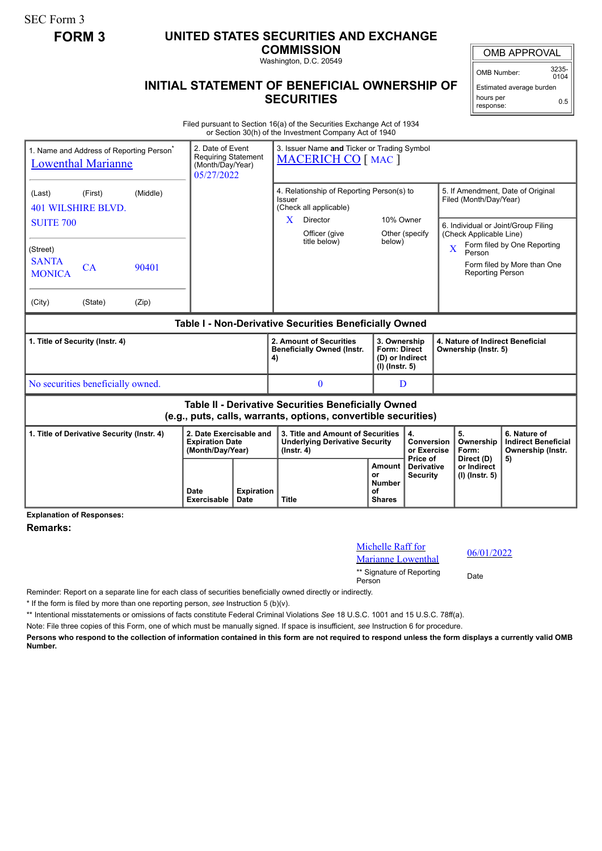# **FORM 3 UNITED STATES SECURITIES AND EXCHANGE**

**COMMISSION** Washington, D.C. 20549

## **INITIAL STATEMENT OF BENEFICIAL OWNERSHIP OF SECURITIES**

OMB APPROVAL

Estimated average burden hours per 0.5

Filed pursuant to Section 16(a) of the Securities Exchange Act of 1934 or Section 30(h) of the Investment Company Act of 1940

|                                                                                                                              | 1. Name and Address of Reporting Person <sup>®</sup><br><b>Lowenthal Marianne</b> |                            | 2. Date of Event<br>3. Issuer Name and Ticker or Trading Symbol<br><b>Requiring Statement</b><br><b>MACERICH CO</b> [ MAC ]<br>(Month/Day/Year)<br>05/27/2022 |              |                                                                                                |                                                                                                                  |                                                                          |                                 |                                                          |                                                                                        |                                                                                                                                        |
|------------------------------------------------------------------------------------------------------------------------------|-----------------------------------------------------------------------------------|----------------------------|---------------------------------------------------------------------------------------------------------------------------------------------------------------|--------------|------------------------------------------------------------------------------------------------|------------------------------------------------------------------------------------------------------------------|--------------------------------------------------------------------------|---------------------------------|----------------------------------------------------------|----------------------------------------------------------------------------------------|----------------------------------------------------------------------------------------------------------------------------------------|
| (Last)<br><b>SUITE 700</b><br>(Street)<br><b>SANTA</b><br><b>MONICA</b><br>(City)                                            | (First)<br>401 WILSHIRE BLVD.<br>CA<br>(State)                                    | (Middle)<br>90401<br>(Zip) |                                                                                                                                                               |              | Issuer<br>X                                                                                    | 4. Relationship of Reporting Person(s) to<br>(Check all applicable)<br>Director<br>Officer (give<br>title below) | 10% Owner<br>below)                                                      | Other (specify                  | X                                                        | Filed (Month/Day/Year)<br>(Check Applicable Line)<br>Person<br><b>Reporting Person</b> | 5. If Amendment, Date of Original<br>6. Individual or Joint/Group Filing<br>Form filed by One Reporting<br>Form filed by More than One |
| Table I - Non-Derivative Securities Beneficially Owned                                                                       |                                                                                   |                            |                                                                                                                                                               |              |                                                                                                |                                                                                                                  |                                                                          |                                 |                                                          |                                                                                        |                                                                                                                                        |
| 1. Title of Security (Instr. 4)                                                                                              |                                                                                   |                            |                                                                                                                                                               |              | 4)                                                                                             | 2. Amount of Securities<br><b>Beneficially Owned (Instr.</b>                                                     | 3. Ownership<br><b>Form: Direct</b><br>(D) or Indirect<br>(I) (Instr. 5) |                                 | 4. Nature of Indirect Beneficial<br>Ownership (Instr. 5) |                                                                                        |                                                                                                                                        |
| No securities beneficially owned.                                                                                            |                                                                                   |                            |                                                                                                                                                               |              |                                                                                                | 0                                                                                                                | D                                                                        |                                 |                                                          |                                                                                        |                                                                                                                                        |
| <b>Table II - Derivative Securities Beneficially Owned</b><br>(e.g., puts, calls, warrants, options, convertible securities) |                                                                                   |                            |                                                                                                                                                               |              |                                                                                                |                                                                                                                  |                                                                          |                                 |                                                          |                                                                                        |                                                                                                                                        |
| 1. Title of Derivative Security (Instr. 4)                                                                                   |                                                                                   |                            | 2. Date Exercisable and<br><b>Expiration Date</b><br>(Month/Day/Year)                                                                                         |              | 3. Title and Amount of Securities<br><b>Underlying Derivative Security</b><br>$($ lnstr. 4 $)$ |                                                                                                                  |                                                                          | 4.<br>Conversion<br>or Exercise |                                                          | 5.<br>Ownership<br>Form:                                                               | 6. Nature of<br><b>Indirect Beneficial</b><br>Ownership (Instr.                                                                        |
|                                                                                                                              |                                                                                   | Date<br><b>Exercisable</b> | <b>Expiration</b><br>Date                                                                                                                                     | <b>Title</b> |                                                                                                | Amount<br>or<br><b>Number</b><br>Ωf<br><b>Shares</b>                                                             | Price of<br><b>Derivative</b><br><b>Security</b>                         |                                 | Direct (D)<br>or Indirect<br>(I) (Instr. 5)              | 5)                                                                                     |                                                                                                                                        |

**Explanation of Responses:**

**Remarks:**

## Michelle Raff for Marianne Lowenthal 06/01/2022 \*\* Signature of Reporting <sub>Date</sub><br>Person

Reminder: Report on a separate line for each class of securities beneficially owned directly or indirectly.

\* If the form is filed by more than one reporting person, *see* Instruction 5 (b)(v).

\*\* Intentional misstatements or omissions of facts constitute Federal Criminal Violations *See* 18 U.S.C. 1001 and 15 U.S.C. 78ff(a).

Note: File three copies of this Form, one of which must be manually signed. If space is insufficient, *see* Instruction 6 for procedure.

**Persons who respond to the collection of information contained in this form are not required to respond unless the form displays a currently valid OMB Number.**

OMB Number: 3235-  $0104$ 

response:

SEC Form 3